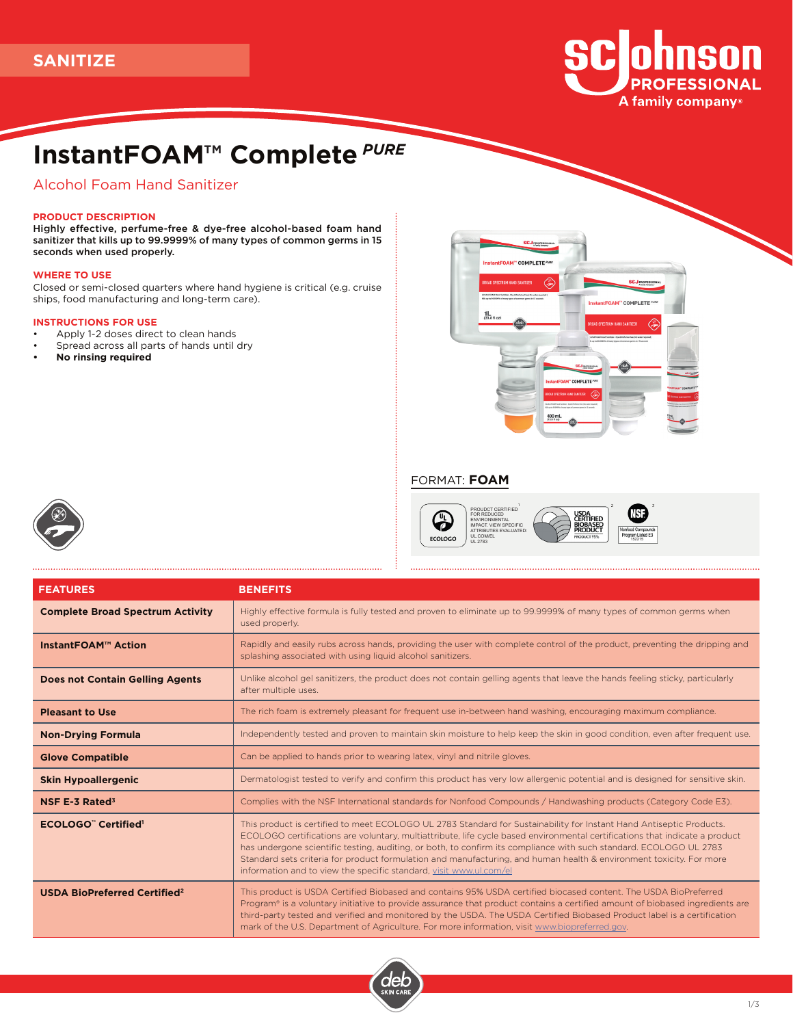

# **InstantFOAM™ Complete** *PURE*

# Alcohol Foam Hand Sanitizer

# **PRODUCT DESCRIPTION**

Highly effective, perfume-free & dye-free alcohol-based foam hand sanitizer that kills up to 99.9999% of many types of common germs in 15 seconds when used properly.

#### **WHERE TO USE**

Closed or semi-closed quarters where hand hygiene is critical (e.g. cruise ships, food manufacturing and long-term care).

## **INSTRUCTIONS FOR USE**

- Apply 1-2 doses direct to clean hands
- Spread across all parts of hands until dry
- **• No rinsing required**



 $\frac{1}{2}$  2

152215

# FORMAT: **FOAM**

G ECOLOGO PROUDCT CERTIFIED<br>FOR REDUCED<br>ENVIRONMENTAL<br>IMPACT. VIEW SPECIFIC<br>ATTRIBUTES EVALUATED:<br>UL.COM/EL<br>UL.2783



| <b>FEATURES</b>                                | <b>BENEFITS</b>                                                                                                                                                                                                                                                                                                                                                                                                                                                                                                                                                       |  |
|------------------------------------------------|-----------------------------------------------------------------------------------------------------------------------------------------------------------------------------------------------------------------------------------------------------------------------------------------------------------------------------------------------------------------------------------------------------------------------------------------------------------------------------------------------------------------------------------------------------------------------|--|
| <b>Complete Broad Spectrum Activity</b>        | Highly effective formula is fully tested and proven to eliminate up to 99.9999% of many types of common germs when<br>used properly.                                                                                                                                                                                                                                                                                                                                                                                                                                  |  |
| <b>InstantFOAM™ Action</b>                     | Rapidly and easily rubs across hands, providing the user with complete control of the product, preventing the dripping and<br>splashing associated with using liquid alcohol sanitizers.                                                                                                                                                                                                                                                                                                                                                                              |  |
| <b>Does not Contain Gelling Agents</b>         | Unlike alcohol gel sanitizers, the product does not contain gelling agents that leave the hands feeling sticky, particularly<br>after multiple uses.                                                                                                                                                                                                                                                                                                                                                                                                                  |  |
| <b>Pleasant to Use</b>                         | The rich foam is extremely pleasant for frequent use in-between hand washing, encouraging maximum compliance.                                                                                                                                                                                                                                                                                                                                                                                                                                                         |  |
| <b>Non-Drying Formula</b>                      | Independently tested and proven to maintain skin moisture to help keep the skin in good condition, even after frequent use.                                                                                                                                                                                                                                                                                                                                                                                                                                           |  |
| <b>Glove Compatible</b>                        | Can be applied to hands prior to wearing latex, vinyl and nitrile gloves.                                                                                                                                                                                                                                                                                                                                                                                                                                                                                             |  |
| <b>Skin Hypoallergenic</b>                     | Dermatologist tested to verify and confirm this product has very low allergenic potential and is designed for sensitive skin.                                                                                                                                                                                                                                                                                                                                                                                                                                         |  |
| <b>NSF E-3 Rated<sup>3</sup></b>               | Complies with the NSF International standards for Nonfood Compounds / Handwashing products (Category Code E3).                                                                                                                                                                                                                                                                                                                                                                                                                                                        |  |
| <b>ECOLOGO"</b> Certified <sup>1</sup>         | This product is certified to meet ECOLOGO UL 2783 Standard for Sustainability for Instant Hand Antiseptic Products.<br>ECOLOGO certifications are voluntary, multiattribute, life cycle based environmental certifications that indicate a product<br>has undergone scientific testing, auditing, or both, to confirm its compliance with such standard. ECOLOGO UL 2783<br>Standard sets criteria for product formulation and manufacturing, and human health & environment toxicity. For more<br>information and to view the specific standard, visit www.ul.com/el |  |
| <b>USDA BioPreferred Certified<sup>2</sup></b> | This product is USDA Certified Biobased and contains 95% USDA certified biocased content. The USDA BioPreferred<br>Program® is a voluntary initiative to provide assurance that product contains a certified amount of biobased ingredients are<br>third-party tested and verified and monitored by the USDA. The USDA Certified Biobased Product label is a certification<br>mark of the U.S. Department of Agriculture. For more information, visit www.biopreferred.gov.                                                                                           |  |

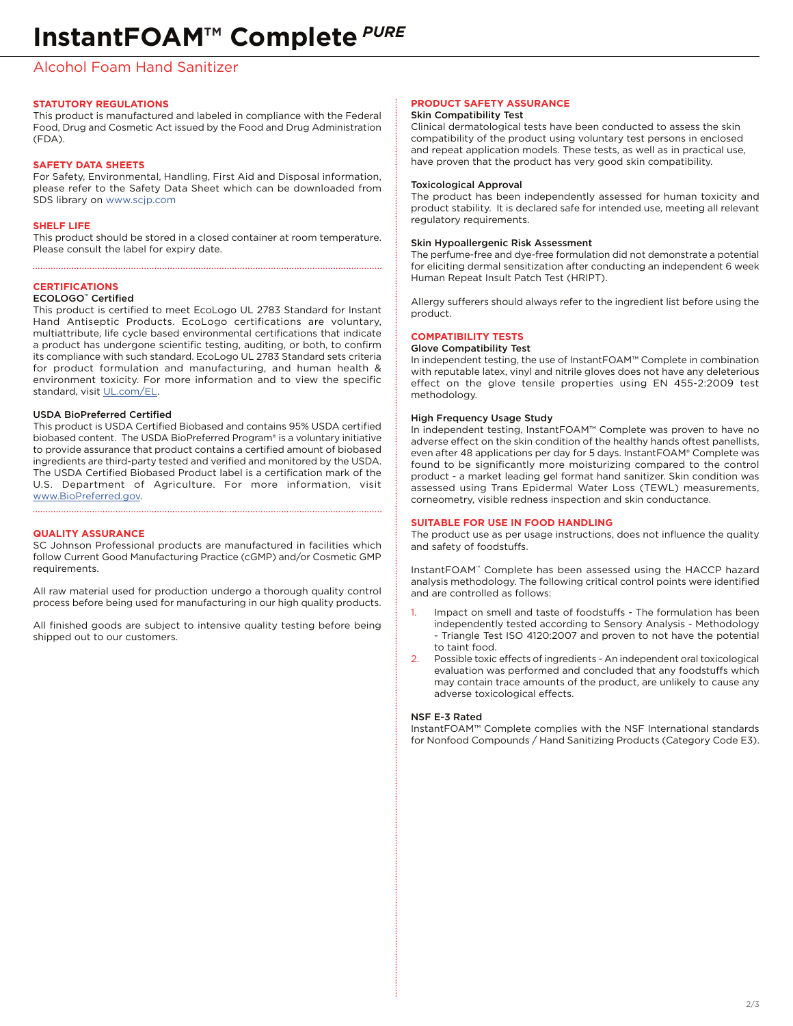# Alcohol Foam Hand Sanitizer

# **STATUTORY REGULATIONS**

This product is manufactured and labeled in compliance with the Federal Food, Drug and Cosmetic Act issued by the Food and Drug Administration (FDA).

## **SAFETY DATA SHEETS**

For Safety, Environmental, Handling, First Aid and Disposal information, please refer to the Safety Data Sheet which can be downloaded from SDS library on www.scjp.com

#### **SHELF LIFE**

This product should be stored in a closed container at room temperature. Please consult the label for expiry date.

# **CERTIFICATIONS**

## ECOLOGO™ Certified

This product is certified to meet EcoLogo UL 2783 Standard for Instant Hand Antiseptic Products. EcoLogo certifications are voluntary, multiattribute, life cycle based environmental certifications that indicate a product has undergone scientific testing, auditing, or both, to confirm its compliance with such standard. EcoLogo UL 2783 Standard sets criteria for product formulation and manufacturing, and human health & environment toxicity. For more information and to view the specific standard, visit UL.com/EL.

## USDA BioPreferred Certified

This product is USDA Certified Biobased and contains 95% USDA certified biobased content. The USDA BioPreferred Program® is a voluntary initiative to provide assurance that product contains a certified amount of biobased ingredients are third-party tested and verified and monitored by the USDA. The USDA Certified Biobased Product label is a certification mark of the U.S. Department of Agriculture. For more information, visit www.BioPreferred.gov. 

#### **QUALITY ASSURANCE**

SC Johnson Professional products are manufactured in facilities which follow Current Good Manufacturing Practice (cGMP) and/or Cosmetic GMP requirements.

All raw material used for production undergo a thorough quality control process before being used for manufacturing in our high quality products.

All finished goods are subject to intensive quality testing before being shipped out to our customers.

#### **PRODUCT SAFETY ASSURANCE**

#### Skin Compatibility Test

Clinical dermatological tests have been conducted to assess the skin compatibility of the product using voluntary test persons in enclosed and repeat application models. These tests, as well as in practical use, have proven that the product has very good skin compatibility.

#### Toxicological Approval

The product has been independently assessed for human toxicity and product stability. It is declared safe for intended use, meeting all relevant regulatory requirements.

#### Skin Hypoallergenic Risk Assessment

The perfume-free and dye-free formulation did not demonstrate a potential for eliciting dermal sensitization after conducting an independent 6 week Human Repeat Insult Patch Test (HRIPT).

Allergy sufferers should always refer to the ingredient list before using the product.

# **COMPATIBILITY TESTS**

# Glove Compatibility Test

In independent testing, the use of InstantFOAM™ Complete in combination with reputable latex, vinyl and nitrile gloves does not have any deleterious effect on the glove tensile properties using EN 455-2:2009 test methodology.

#### High Frequency Usage Study

In independent testing, InstantFOAM™ Complete was proven to have no adverse effect on the skin condition of the healthy hands oftest panellists, even after 48 applications per day for 5 days. InstantFOAM® Complete was found to be significantly more moisturizing compared to the control product - a market leading gel format hand sanitizer. Skin condition was assessed using Trans Epidermal Water Loss (TEWL) measurements, corneometry, visible redness inspection and skin conductance.

#### **SUITABLE FOR USE IN FOOD HANDLING**

The product use as per usage instructions, does not influence the quality and safety of foodstuffs.

InstantFOAM™ Complete has been assessed using the HACCP hazard analysis methodology. The following critical control points were identified and are controlled as follows:

- Impact on smell and taste of foodstuffs The formulation has been independently tested according to Sensory Analysis - Methodology - Triangle Test ISO 4120:2007 and proven to not have the potential to taint food.
- 2. Possible toxic effects of ingredients An independent oral toxicological evaluation was performed and concluded that any foodstuffs which may contain trace amounts of the product, are unlikely to cause any adverse toxicological effects.

#### NSF E-3 Rated

InstantFOAM™ Complete complies with the NSF International standards for Nonfood Compounds / Hand Sanitizing Products (Category Code E3).